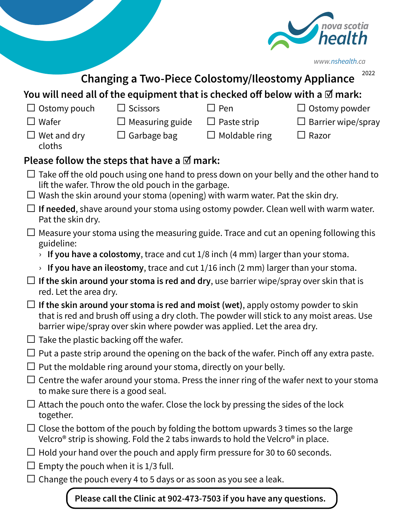

| www.nshealth.ca |  |  |
|-----------------|--|--|
|-----------------|--|--|

|                                                                                                                                                                             |                                                                                                                                                                                                                                                             |                      | 2022                 |  |
|-----------------------------------------------------------------------------------------------------------------------------------------------------------------------------|-------------------------------------------------------------------------------------------------------------------------------------------------------------------------------------------------------------------------------------------------------------|----------------------|----------------------|--|
| <b>Changing a Two-Piece Colostomy/Ileostomy Appliance</b><br>You will need all of the equipment that is checked off below with a $\boxtimes$ mark:                          |                                                                                                                                                                                                                                                             |                      |                      |  |
| Ostomy pouch<br>⊔                                                                                                                                                           | Scissors                                                                                                                                                                                                                                                    | ∃ Pen                | $\Box$ Ostomy powder |  |
| $\Box$ Wafer                                                                                                                                                                | Measuring guide                                                                                                                                                                                                                                             | $\Box$ Paste strip   | Barrier wipe/spray   |  |
| $\Box$ Wet and dry<br>cloths                                                                                                                                                | $\Box$ Garbage bag                                                                                                                                                                                                                                          | $\Box$ Moldable ring | $\Box$ Razor         |  |
|                                                                                                                                                                             | Please follow the steps that have a $\mathbb Z$ mark:                                                                                                                                                                                                       |                      |                      |  |
|                                                                                                                                                                             | $\Box$ Take off the old pouch using one hand to press down on your belly and the other hand to<br>lift the wafer. Throw the old pouch in the garbage.<br>$\Box$ Wash the skin around your stoma (opening) with warm water. Pat the skin dry.                |                      |                      |  |
| Pat the skin dry.                                                                                                                                                           | $\Box$ If needed, shave around your stoma using ostomy powder. Clean well with warm water.                                                                                                                                                                  |                      |                      |  |
| guideline:                                                                                                                                                                  | Measure your stoma using the measuring guide. Trace and cut an opening following this                                                                                                                                                                       |                      |                      |  |
| If you have a colostomy, trace and cut $1/8$ inch (4 mm) larger than your stoma.                                                                                            |                                                                                                                                                                                                                                                             |                      |                      |  |
|                                                                                                                                                                             | If you have an ileostomy, trace and cut $1/16$ inch (2 mm) larger than your stoma.                                                                                                                                                                          |                      |                      |  |
| red. Let the area dry.                                                                                                                                                      | $\Box$ If the skin around your stoma is red and dry, use barrier wipe/spray over skin that is                                                                                                                                                               |                      |                      |  |
|                                                                                                                                                                             | If the skin around your stoma is red and moist (wet), apply ostomy powder to skin<br>that is red and brush off using a dry cloth. The powder will stick to any moist areas. Use<br>barrier wipe/spray over skin where powder was applied. Let the area dry. |                      |                      |  |
| $\Box$ Take the plastic backing off the wafer.                                                                                                                              |                                                                                                                                                                                                                                                             |                      |                      |  |
| $\Box$ Put a paste strip around the opening on the back of the wafer. Pinch off any extra paste.<br>$\Box$ Put the moldable ring around your stoma, directly on your belly. |                                                                                                                                                                                                                                                             |                      |                      |  |
|                                                                                                                                                                             |                                                                                                                                                                                                                                                             |                      |                      |  |
| to make sure there is a good seal.                                                                                                                                          | Centre the wafer around your stoma. Press the inner ring of the wafer next to your stoma                                                                                                                                                                    |                      |                      |  |
| together.                                                                                                                                                                   | Attach the pouch onto the wafer. Close the lock by pressing the sides of the lock                                                                                                                                                                           |                      |                      |  |
|                                                                                                                                                                             | $\Box$ Close the bottom of the pouch by folding the bottom upwards 3 times so the large<br>Velcro <sup>®</sup> strip is showing. Fold the 2 tabs inwards to hold the Velcro <sup>®</sup> in place.                                                          |                      |                      |  |
|                                                                                                                                                                             | Hold your hand over the pouch and apply firm pressure for 30 to 60 seconds.                                                                                                                                                                                 |                      |                      |  |
| Empty the pouch when it is 1/3 full.                                                                                                                                        |                                                                                                                                                                                                                                                             |                      |                      |  |
|                                                                                                                                                                             | Change the pouch every 4 to 5 days or as soon as you see a leak.                                                                                                                                                                                            |                      |                      |  |
|                                                                                                                                                                             | Please call the Clinic at 902-473-7503 if you have any questions.                                                                                                                                                                                           |                      |                      |  |